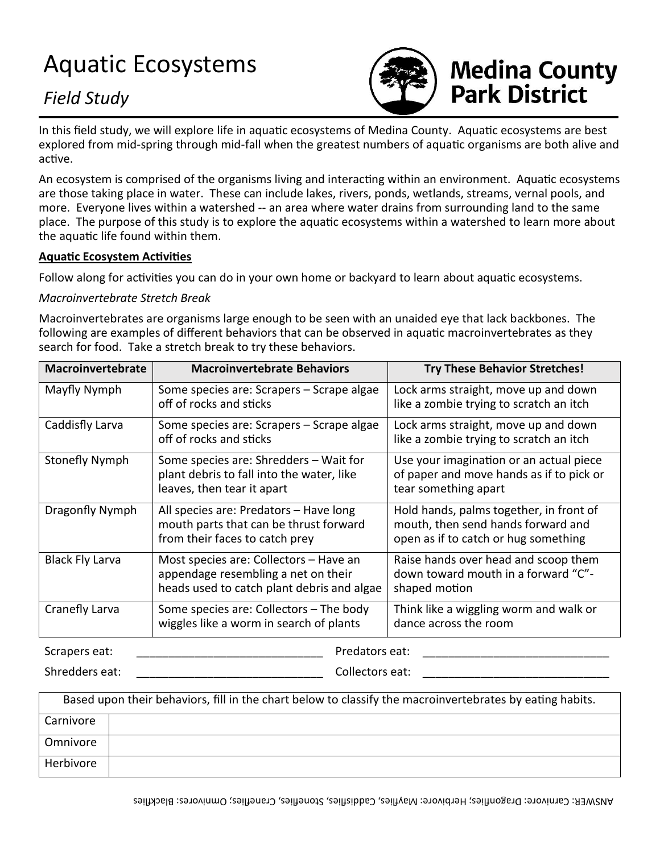## Aquatic Ecosystems

### *Field Study*



# **Medina County<br>Park District**

In this field study, we will explore life in aquatic ecosystems of Medina County. Aquatic ecosystems are best explored from mid-spring through mid-fall when the greatest numbers of aquatic organisms are both alive and active.

An ecosystem is comprised of the organisms living and interacting within an environment. Aquatic ecosystems are those taking place in water. These can include lakes, rivers, ponds, wetlands, streams, vernal pools, and more. Everyone lives within a watershed -- an area where water drains from surrounding land to the same place. The purpose of this study is to explore the aquatic ecosystems within a watershed to learn more about the aquatic life found within them.

#### **Aquatic Ecosystem Activities**

Follow along for activities you can do in your own home or backyard to learn about aquatic ecosystems.

#### *Macroinvertebrate Stretch Break*

Macroinvertebrates are organisms large enough to be seen with an unaided eye that lack backbones. The following are examples of different behaviors that can be observed in aquatic macroinvertebrates as they search for food. Take a stretch break to try these behaviors.

| Macroinvertebrate      | <b>Macroinvertebrate Behaviors</b>                                                                                          | <b>Try These Behavior Stretches!</b>                                                                                  |
|------------------------|-----------------------------------------------------------------------------------------------------------------------------|-----------------------------------------------------------------------------------------------------------------------|
| Mayfly Nymph           | Some species are: Scrapers – Scrape algae<br>off of rocks and sticks                                                        | Lock arms straight, move up and down<br>like a zombie trying to scratch an itch                                       |
| Caddisfly Larva        | Some species are: Scrapers – Scrape algae<br>off of rocks and sticks                                                        | Lock arms straight, move up and down<br>like a zombie trying to scratch an itch                                       |
| Stonefly Nymph         | Some species are: Shredders - Wait for<br>plant debris to fall into the water, like<br>leaves, then tear it apart           | Use your imagination or an actual piece<br>of paper and move hands as if to pick or<br>tear something apart           |
| Dragonfly Nymph        | All species are: Predators - Have long<br>mouth parts that can be thrust forward<br>from their faces to catch prey          | Hold hands, palms together, in front of<br>mouth, then send hands forward and<br>open as if to catch or hug something |
| <b>Black Fly Larva</b> | Most species are: Collectors - Have an<br>appendage resembling a net on their<br>heads used to catch plant debris and algae | Raise hands over head and scoop them<br>down toward mouth in a forward "C"-<br>shaped motion                          |
| Cranefly Larva         | Some species are: Collectors - The body<br>wiggles like a worm in search of plants                                          | Think like a wiggling worm and walk or<br>dance across the room                                                       |
| Scrapers eat:          | Predators eat:                                                                                                              |                                                                                                                       |

Shredders eat: early and the state of the collectors eat:  $\sim$  Collectors eat:  $\sim$  2000  $\sim$  2000  $\sim$  2000  $\sim$  2000  $\sim$  2000  $\sim$  2000  $\sim$  2000  $\sim$  2000  $\sim$  2000  $\sim$  2000  $\sim$  2000  $\sim$  2000  $\sim$  2000  $\sim$  2000  $\sim$ 

| Based upon their behaviors, fill in the chart below to classify the macroinvertebrates by eating habits. |  |  |
|----------------------------------------------------------------------------------------------------------|--|--|
| Carnivore                                                                                                |  |  |
| Omnivore                                                                                                 |  |  |
| Herbivore                                                                                                |  |  |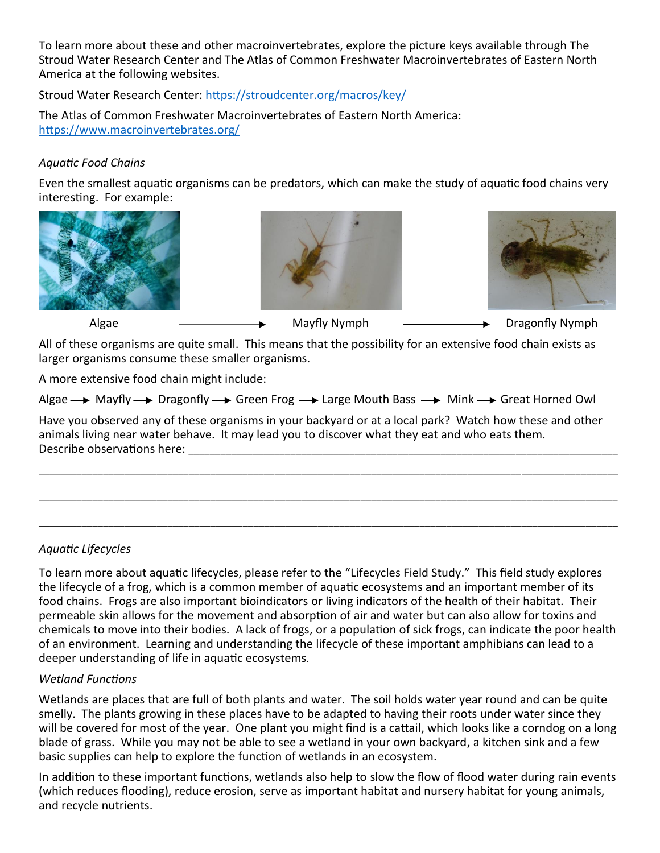To learn more about these and other macroinvertebrates, explore the picture keys available through The Stroud Water Research Center and The Atlas of Common Freshwater Macroinvertebrates of Eastern North America at the following websites.

Stroud Water Research Center:<https://stroudcenter.org/macros/key/>

The Atlas of Common Freshwater Macroinvertebrates of Eastern North America: <https://www.macroinvertebrates.org/>

#### *Aquatic Food Chains*

Even the smallest aquatic organisms can be predators, which can make the study of aquatic food chains very interesting. For example:







Algae  $\longrightarrow$  Mayfly Nymph  $\longrightarrow$  Dragonfly Nymph

All of these organisms are quite small. This means that the possibility for an extensive food chain exists as larger organisms consume these smaller organisms.

A more extensive food chain might include:

Algae  $\rightarrow$  Mayfly  $\rightarrow$  Dragonfly  $\rightarrow$  Green Frog  $\rightarrow$  Large Mouth Bass  $\rightarrow$  Mink  $\rightarrow$  Great Horned Owl

Have you observed any of these organisms in your backyard or at a local park? Watch how these and other animals living near water behave. It may lead you to discover what they eat and who eats them. Describe observations here:

\_\_\_\_\_\_\_\_\_\_\_\_\_\_\_\_\_\_\_\_\_\_\_\_\_\_\_\_\_\_\_\_\_\_\_\_\_\_\_\_\_\_\_\_\_\_\_\_\_\_\_\_\_\_\_\_\_\_\_\_\_\_\_\_\_\_\_\_\_\_\_\_\_\_\_\_\_\_\_\_\_\_\_\_\_\_\_\_\_\_\_\_\_\_\_\_\_\_\_\_\_\_\_\_\_\_\_\_

\_\_\_\_\_\_\_\_\_\_\_\_\_\_\_\_\_\_\_\_\_\_\_\_\_\_\_\_\_\_\_\_\_\_\_\_\_\_\_\_\_\_\_\_\_\_\_\_\_\_\_\_\_\_\_\_\_\_\_\_\_\_\_\_\_\_\_\_\_\_\_\_\_\_\_\_\_\_\_\_\_\_\_\_\_\_\_\_\_\_\_\_\_\_\_\_\_\_\_\_\_\_\_\_\_\_\_\_

\_\_\_\_\_\_\_\_\_\_\_\_\_\_\_\_\_\_\_\_\_\_\_\_\_\_\_\_\_\_\_\_\_\_\_\_\_\_\_\_\_\_\_\_\_\_\_\_\_\_\_\_\_\_\_\_\_\_\_\_\_\_\_\_\_\_\_\_\_\_\_\_\_\_\_\_\_\_\_\_\_\_\_\_\_\_\_\_\_\_\_\_\_\_\_\_\_\_\_\_\_\_\_\_\_\_\_\_

#### *Aquatic Lifecycles*

To learn more about aquatic lifecycles, please refer to the "Lifecycles Field Study." This field study explores the lifecycle of a frog, which is a common member of aquatic ecosystems and an important member of its food chains. Frogs are also important bioindicators or living indicators of the health of their habitat. Their permeable skin allows for the movement and absorption of air and water but can also allow for toxins and chemicals to move into their bodies. A lack of frogs, or a population of sick frogs, can indicate the poor health of an environment. Learning and understanding the lifecycle of these important amphibians can lead to a deeper understanding of life in aquatic ecosystems.

#### *Wetland Functions*

Wetlands are places that are full of both plants and water. The soil holds water year round and can be quite smelly. The plants growing in these places have to be adapted to having their roots under water since they will be covered for most of the year. One plant you might find is a cattail, which looks like a corndog on a long blade of grass. While you may not be able to see a wetland in your own backyard, a kitchen sink and a few basic supplies can help to explore the function of wetlands in an ecosystem.

In addition to these important functions, wetlands also help to slow the flow of flood water during rain events (which reduces flooding), reduce erosion, serve as important habitat and nursery habitat for young animals, and recycle nutrients.